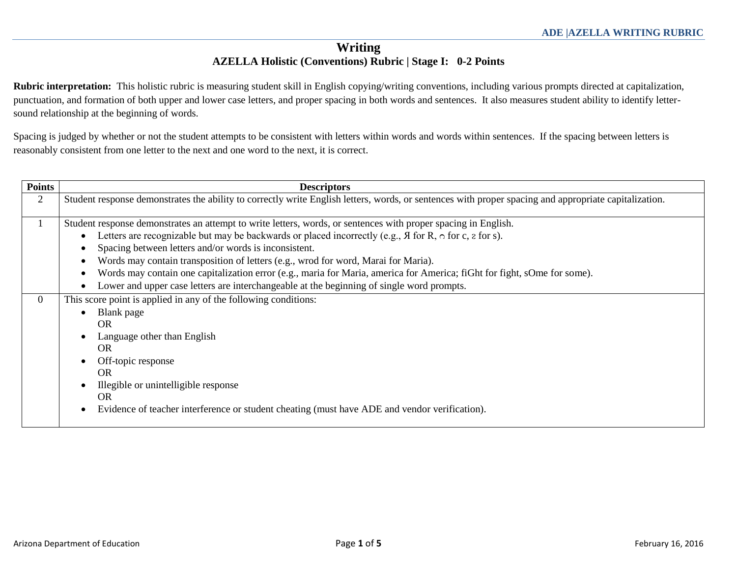# **Writing AZELLA Holistic (Conventions) Rubric | Stage I: 0-2 Points**

**Rubric interpretation:** This holistic rubric is measuring student skill in English copying/writing conventions, including various prompts directed at capitalization, punctuation, and formation of both upper and lower case letters, and proper spacing in both words and sentences. It also measures student ability to identify lettersound relationship at the beginning of words.

Spacing is judged by whether or not the student attempts to be consistent with letters within words and words within sentences. If the spacing between letters is reasonably consistent from one letter to the next and one word to the next, it is correct.

| <b>Points</b>  | <b>Descriptors</b>                                                                                                                                                                                                                                                                                                                                                                                                                                                                                                                                                                                                               |
|----------------|----------------------------------------------------------------------------------------------------------------------------------------------------------------------------------------------------------------------------------------------------------------------------------------------------------------------------------------------------------------------------------------------------------------------------------------------------------------------------------------------------------------------------------------------------------------------------------------------------------------------------------|
| $\overline{2}$ | Student response demonstrates the ability to correctly write English letters, words, or sentences with proper spacing and appropriate capitalization.                                                                                                                                                                                                                                                                                                                                                                                                                                                                            |
| 1              | Student response demonstrates an attempt to write letters, words, or sentences with proper spacing in English.<br>Letters are recognizable but may be backwards or placed incorrectly (e.g., $\overline{A}$ for R, $\circ$ for c, $\overline{z}$ for s).<br>Spacing between letters and/or words is inconsistent.<br>Words may contain transposition of letters (e.g., wrod for word, Marai for Maria).<br>Words may contain one capitalization error (e.g., maria for Maria, america for America; fiGht for fight, sOme for some).<br>Lower and upper case letters are interchangeable at the beginning of single word prompts. |
| $\overline{0}$ | This score point is applied in any of the following conditions:<br>Blank page<br>OR.<br>Language other than English<br><b>OR</b><br>Off-topic response<br>OR.<br>Illegible or unintelligible response<br><b>OR</b><br>Evidence of teacher interference or student cheating (must have ADE and vendor verification).                                                                                                                                                                                                                                                                                                              |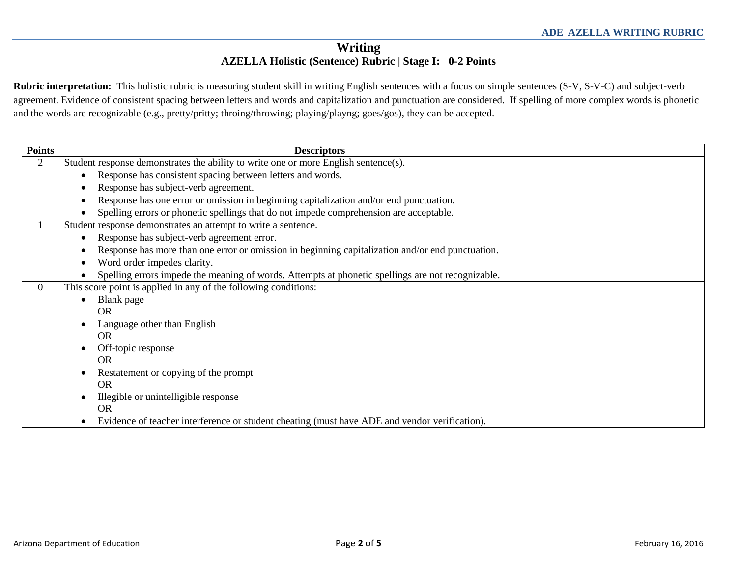# **Writing AZELLA Holistic (Sentence) Rubric | Stage I: 0-2 Points**

**Rubric interpretation:** This holistic rubric is measuring student skill in writing English sentences with a focus on simple sentences (S-V, S-V-C) and subject-verb agreement. Evidence of consistent spacing between letters and words and capitalization and punctuation are considered. If spelling of more complex words is phonetic and the words are recognizable (e.g., pretty/pritty; throing/throwing; playing/playng; goes/gos), they can be accepted.

| <b>Points</b>  | <b>Descriptors</b>                                                                                |  |  |  |
|----------------|---------------------------------------------------------------------------------------------------|--|--|--|
| $\overline{2}$ | Student response demonstrates the ability to write one or more English sentence(s).               |  |  |  |
|                | Response has consistent spacing between letters and words.                                        |  |  |  |
|                | Response has subject-verb agreement.                                                              |  |  |  |
|                | Response has one error or omission in beginning capitalization and/or end punctuation.            |  |  |  |
|                | Spelling errors or phonetic spellings that do not impede comprehension are acceptable.            |  |  |  |
|                | Student response demonstrates an attempt to write a sentence.                                     |  |  |  |
|                | Response has subject-verb agreement error.                                                        |  |  |  |
|                | Response has more than one error or omission in beginning capitalization and/or end punctuation.  |  |  |  |
|                | Word order impedes clarity.                                                                       |  |  |  |
|                | Spelling errors impede the meaning of words. Attempts at phonetic spellings are not recognizable. |  |  |  |
| $\Omega$       | This score point is applied in any of the following conditions:                                   |  |  |  |
|                | Blank page                                                                                        |  |  |  |
|                | <b>OR</b>                                                                                         |  |  |  |
|                | Language other than English                                                                       |  |  |  |
|                | <b>OR</b>                                                                                         |  |  |  |
|                | Off-topic response                                                                                |  |  |  |
|                | <b>OR</b>                                                                                         |  |  |  |
|                | Restatement or copying of the prompt                                                              |  |  |  |
|                | <b>OR</b>                                                                                         |  |  |  |
|                | Illegible or unintelligible response                                                              |  |  |  |
|                | <b>OR</b>                                                                                         |  |  |  |
|                | Evidence of teacher interference or student cheating (must have ADE and vendor verification).     |  |  |  |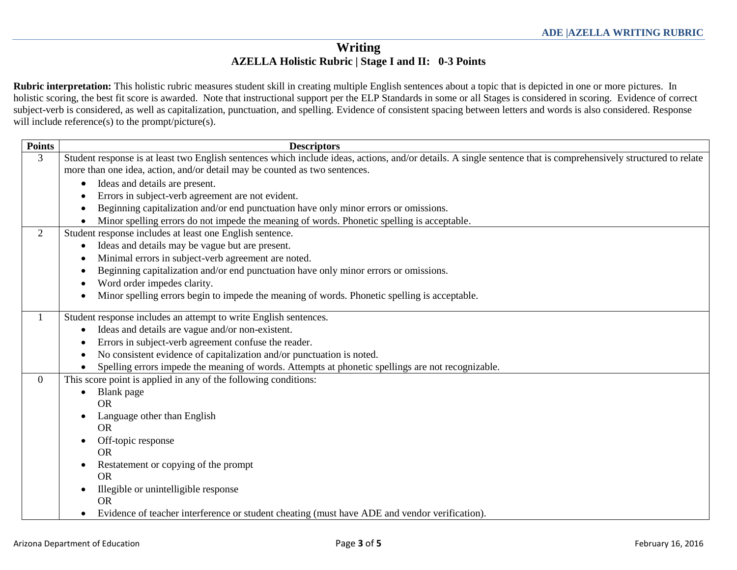# **Writing AZELLA Holistic Rubric | Stage I and II: 0-3 Points**

**Rubric interpretation:** This holistic rubric measures student skill in creating multiple English sentences about a topic that is depicted in one or more pictures. In holistic scoring, the best fit score is awarded. Note that instructional support per the ELP Standards in some or all Stages is considered in scoring. Evidence of correct subject-verb is considered, as well as capitalization, punctuation, and spelling. Evidence of consistent spacing between letters and words is also considered. Response will include reference(s) to the prompt/picture(s).

| <b>Points</b>  | <b>Descriptors</b>                                                                                                                                              |  |  |  |  |
|----------------|-----------------------------------------------------------------------------------------------------------------------------------------------------------------|--|--|--|--|
| 3              | Student response is at least two English sentences which include ideas, actions, and/or details. A single sentence that is comprehensively structured to relate |  |  |  |  |
|                | more than one idea, action, and/or detail may be counted as two sentences.                                                                                      |  |  |  |  |
|                | Ideas and details are present.<br>٠                                                                                                                             |  |  |  |  |
|                | Errors in subject-verb agreement are not evident.                                                                                                               |  |  |  |  |
|                | Beginning capitalization and/or end punctuation have only minor errors or omissions.                                                                            |  |  |  |  |
|                | Minor spelling errors do not impede the meaning of words. Phonetic spelling is acceptable.                                                                      |  |  |  |  |
| $\overline{2}$ | Student response includes at least one English sentence.                                                                                                        |  |  |  |  |
|                | Ideas and details may be vague but are present.                                                                                                                 |  |  |  |  |
|                | Minimal errors in subject-verb agreement are noted.                                                                                                             |  |  |  |  |
|                | Beginning capitalization and/or end punctuation have only minor errors or omissions.                                                                            |  |  |  |  |
|                | Word order impedes clarity.                                                                                                                                     |  |  |  |  |
|                | Minor spelling errors begin to impede the meaning of words. Phonetic spelling is acceptable.                                                                    |  |  |  |  |
| 1              | Student response includes an attempt to write English sentences.                                                                                                |  |  |  |  |
|                | Ideas and details are vague and/or non-existent.                                                                                                                |  |  |  |  |
|                | Errors in subject-verb agreement confuse the reader.                                                                                                            |  |  |  |  |
|                | No consistent evidence of capitalization and/or punctuation is noted.                                                                                           |  |  |  |  |
|                | Spelling errors impede the meaning of words. Attempts at phonetic spellings are not recognizable.                                                               |  |  |  |  |
| $\overline{0}$ | This score point is applied in any of the following conditions:                                                                                                 |  |  |  |  |
|                | Blank page                                                                                                                                                      |  |  |  |  |
|                | <b>OR</b>                                                                                                                                                       |  |  |  |  |
|                | Language other than English                                                                                                                                     |  |  |  |  |
|                | <b>OR</b>                                                                                                                                                       |  |  |  |  |
|                | Off-topic response                                                                                                                                              |  |  |  |  |
|                | <b>OR</b>                                                                                                                                                       |  |  |  |  |
|                | Restatement or copying of the prompt                                                                                                                            |  |  |  |  |
|                | <b>OR</b>                                                                                                                                                       |  |  |  |  |
|                | Illegible or unintelligible response                                                                                                                            |  |  |  |  |
|                | <b>OR</b>                                                                                                                                                       |  |  |  |  |
|                | Evidence of teacher interference or student cheating (must have ADE and vendor verification).                                                                   |  |  |  |  |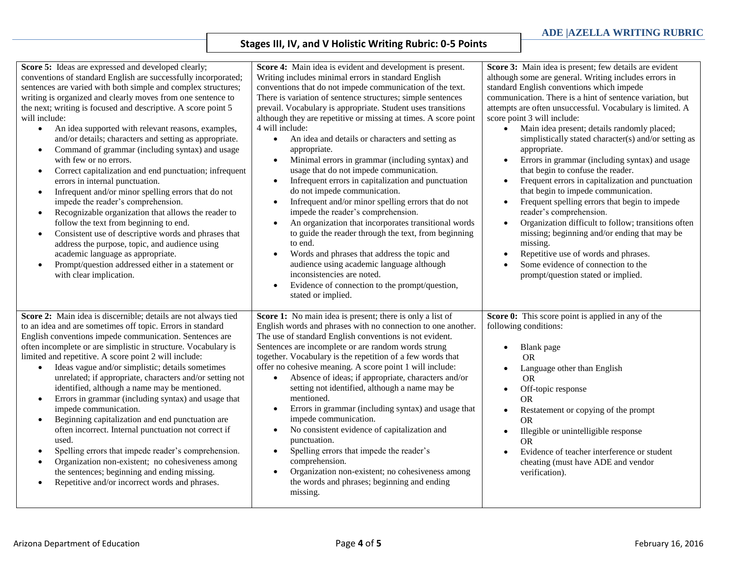### **Stages III, IV, and V Holistic Writing Rubric: 0-5 Points**

| Score 5: Ideas are expressed and developed clearly;<br>conventions of standard English are successfully incorporated;<br>sentences are varied with both simple and complex structures;<br>writing is organized and clearly moves from one sentence to<br>the next; writing is focused and descriptive. A score point 5<br>will include:<br>An idea supported with relevant reasons, examples,<br>$\bullet$<br>and/or details; characters and setting as appropriate.<br>Command of grammar (including syntax) and usage<br>$\bullet$<br>with few or no errors.<br>Correct capitalization and end punctuation; infrequent<br>$\bullet$<br>errors in internal punctuation.<br>Infrequent and/or minor spelling errors that do not<br>$\bullet$<br>impede the reader's comprehension.<br>Recognizable organization that allows the reader to<br>$\bullet$<br>follow the text from beginning to end.<br>Consistent use of descriptive words and phrases that<br>$\bullet$<br>address the purpose, topic, and audience using<br>academic language as appropriate.<br>Prompt/question addressed either in a statement or<br>$\bullet$<br>with clear implication. | Score 4: Main idea is evident and development is present.<br>Writing includes minimal errors in standard English<br>conventions that do not impede communication of the text.<br>There is variation of sentence structures; simple sentences<br>prevail. Vocabulary is appropriate. Student uses transitions<br>although they are repetitive or missing at times. A score point<br>4 will include:<br>An idea and details or characters and setting as<br>$\bullet$<br>appropriate.<br>Minimal errors in grammar (including syntax) and<br>$\bullet$<br>usage that do not impede communication.<br>Infrequent errors in capitalization and punctuation<br>$\bullet$<br>do not impede communication.<br>Infrequent and/or minor spelling errors that do not<br>$\bullet$<br>impede the reader's comprehension.<br>An organization that incorporates transitional words<br>$\bullet$<br>to guide the reader through the text, from beginning<br>to end.<br>Words and phrases that address the topic and<br>audience using academic language although<br>inconsistencies are noted.<br>Evidence of connection to the prompt/question,<br>$\bullet$<br>stated or implied. | Score 3: Main idea is present; few details are evident<br>although some are general. Writing includes errors in<br>standard English conventions which impede<br>communication. There is a hint of sentence variation, but<br>attempts are often unsuccessful. Vocabulary is limited. A<br>score point 3 will include:<br>Main idea present; details randomly placed;<br>$\bullet$<br>simplistically stated character(s) and/or setting as<br>appropriate.<br>Errors in grammar (including syntax) and usage<br>$\bullet$<br>that begin to confuse the reader.<br>Frequent errors in capitalization and punctuation<br>that begin to impede communication.<br>Frequent spelling errors that begin to impede<br>$\bullet$<br>reader's comprehension.<br>Organization difficult to follow; transitions often<br>missing; beginning and/or ending that may be<br>missing.<br>Repetitive use of words and phrases.<br>Some evidence of connection to the<br>prompt/question stated or implied. |
|------------------------------------------------------------------------------------------------------------------------------------------------------------------------------------------------------------------------------------------------------------------------------------------------------------------------------------------------------------------------------------------------------------------------------------------------------------------------------------------------------------------------------------------------------------------------------------------------------------------------------------------------------------------------------------------------------------------------------------------------------------------------------------------------------------------------------------------------------------------------------------------------------------------------------------------------------------------------------------------------------------------------------------------------------------------------------------------------------------------------------------------------------------|-----------------------------------------------------------------------------------------------------------------------------------------------------------------------------------------------------------------------------------------------------------------------------------------------------------------------------------------------------------------------------------------------------------------------------------------------------------------------------------------------------------------------------------------------------------------------------------------------------------------------------------------------------------------------------------------------------------------------------------------------------------------------------------------------------------------------------------------------------------------------------------------------------------------------------------------------------------------------------------------------------------------------------------------------------------------------------------------------------------------------------------------------------------------------|-------------------------------------------------------------------------------------------------------------------------------------------------------------------------------------------------------------------------------------------------------------------------------------------------------------------------------------------------------------------------------------------------------------------------------------------------------------------------------------------------------------------------------------------------------------------------------------------------------------------------------------------------------------------------------------------------------------------------------------------------------------------------------------------------------------------------------------------------------------------------------------------------------------------------------------------------------------------------------------------|
| Score 2: Main idea is discernible; details are not always tied<br>to an idea and are sometimes off topic. Errors in standard<br>English conventions impede communication. Sentences are<br>often incomplete or are simplistic in structure. Vocabulary is<br>limited and repetitive. A score point 2 will include:<br>Ideas vague and/or simplistic; details sometimes<br>$\bullet$<br>unrelated; if appropriate, characters and/or setting not<br>identified, although a name may be mentioned.<br>Errors in grammar (including syntax) and usage that<br>$\bullet$<br>impede communication.<br>Beginning capitalization and end punctuation are<br>$\bullet$<br>often incorrect. Internal punctuation not correct if<br>used.<br>Spelling errors that impede reader's comprehension.<br>$\bullet$<br>Organization non-existent; no cohesiveness among<br>$\bullet$<br>the sentences; beginning and ending missing.<br>Repetitive and/or incorrect words and phrases.<br>$\bullet$                                                                                                                                                                        | Score 1: No main idea is present; there is only a list of<br>English words and phrases with no connection to one another.<br>The use of standard English conventions is not evident.<br>Sentences are incomplete or are random words strung<br>together. Vocabulary is the repetition of a few words that<br>offer no cohesive meaning. A score point 1 will include:<br>Absence of ideas; if appropriate, characters and/or<br>$\bullet$<br>setting not identified, although a name may be<br>mentioned.<br>Errors in grammar (including syntax) and usage that<br>$\bullet$<br>impede communication.<br>No consistent evidence of capitalization and<br>$\bullet$<br>punctuation.<br>Spelling errors that impede the reader's<br>$\bullet$<br>comprehension.<br>Organization non-existent; no cohesiveness among<br>$\bullet$<br>the words and phrases; beginning and ending<br>missing.                                                                                                                                                                                                                                                                            | Score 0: This score point is applied in any of the<br>following conditions:<br>Blank page<br>$\bullet$<br>OR.<br>Language other than English<br>OR.<br>Off-topic response<br>$\bullet$<br><b>OR</b><br>Restatement or copying of the prompt<br>$\bullet$<br><b>OR</b><br>Illegible or unintelligible response<br><b>OR</b><br>Evidence of teacher interference or student<br>cheating (must have ADE and vendor<br>verification).                                                                                                                                                                                                                                                                                                                                                                                                                                                                                                                                                         |